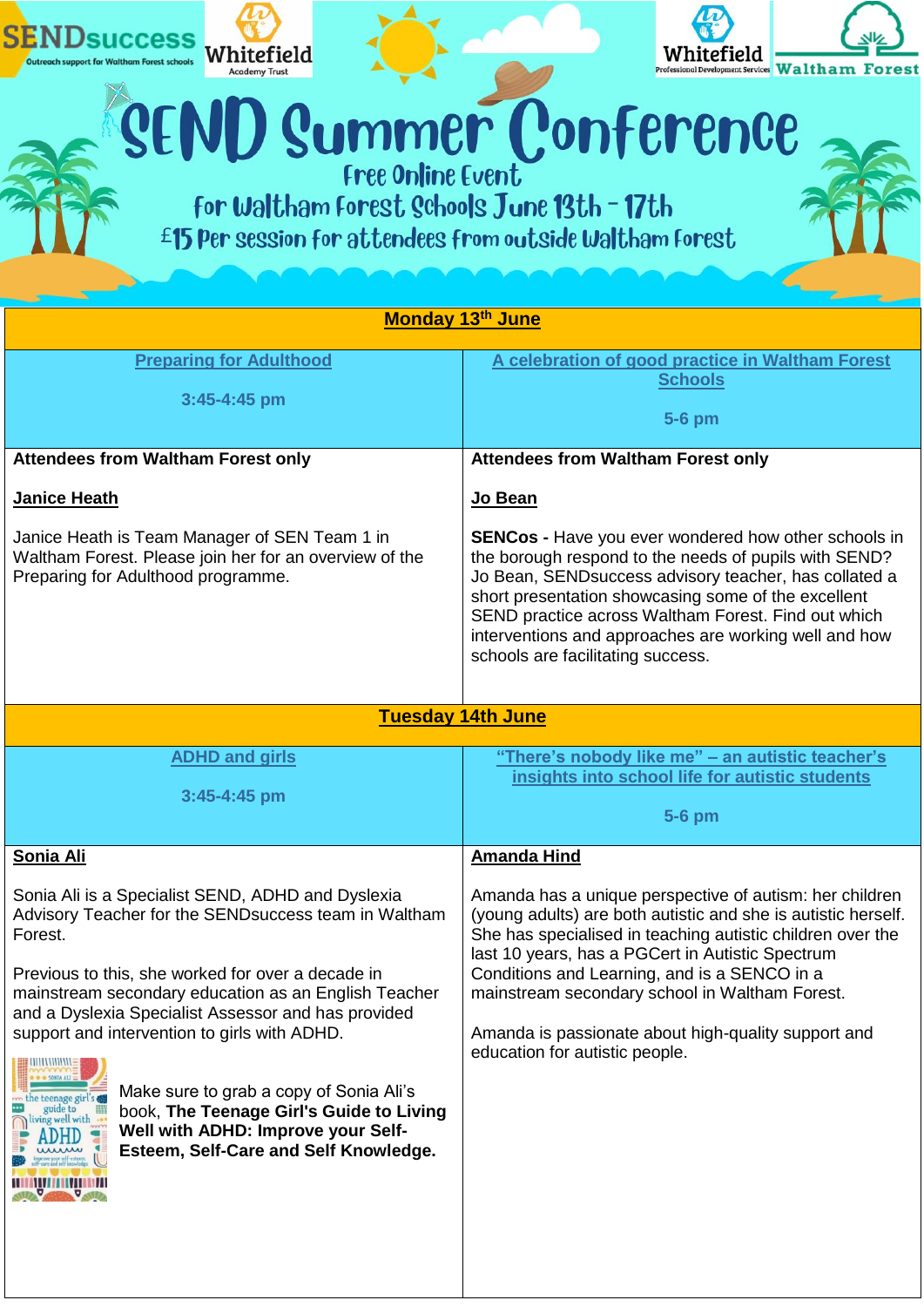

Preparing for Adulthood programme.

the borough respond to the needs of pupils with SEND? Jo Bean, SENDsuccess advisory teacher, has collated a short presentation showcasing some of the excellent SEND practice across Waltham Forest. Find out which interventions and approaches are working well and how schools are facilitating success.

| <b>Tuesday 14th June</b>                                                                                                                                                                                                                                                                                                                                                                                                                                                                                                          |                                                                                                                                                                                                                                                                                                                                                                                                                                       |  |
|-----------------------------------------------------------------------------------------------------------------------------------------------------------------------------------------------------------------------------------------------------------------------------------------------------------------------------------------------------------------------------------------------------------------------------------------------------------------------------------------------------------------------------------|---------------------------------------------------------------------------------------------------------------------------------------------------------------------------------------------------------------------------------------------------------------------------------------------------------------------------------------------------------------------------------------------------------------------------------------|--|
| <b>ADHD and girls</b>                                                                                                                                                                                                                                                                                                                                                                                                                                                                                                             | "There's nobody like me" – an autistic teacher's                                                                                                                                                                                                                                                                                                                                                                                      |  |
|                                                                                                                                                                                                                                                                                                                                                                                                                                                                                                                                   | insights into school life for autistic students                                                                                                                                                                                                                                                                                                                                                                                       |  |
| $3:45 - 4:45$ pm                                                                                                                                                                                                                                                                                                                                                                                                                                                                                                                  |                                                                                                                                                                                                                                                                                                                                                                                                                                       |  |
|                                                                                                                                                                                                                                                                                                                                                                                                                                                                                                                                   | 5-6 pm                                                                                                                                                                                                                                                                                                                                                                                                                                |  |
| Sonia Ali                                                                                                                                                                                                                                                                                                                                                                                                                                                                                                                         | <b>Amanda Hind</b>                                                                                                                                                                                                                                                                                                                                                                                                                    |  |
| Sonia Ali is a Specialist SEND, ADHD and Dyslexia<br>Advisory Teacher for the SEND success team in Waltham<br>Forest.<br>Previous to this, she worked for over a decade in<br>mainstream secondary education as an English Teacher<br>and a Dyslexia Specialist Assessor and has provided<br>support and intervention to girls with ADHD.<br>Make sure to grab a copy of Sonia Ali's<br>the teenage gi<br>book, The Teenage Girl's Guide to Living<br>Well with ADHD: Improve your Self-<br>Esteem, Self-Care and Self Knowledge. | Amanda has a unique perspective of autism: her children<br>(young adults) are both autistic and she is autistic herself.<br>She has specialised in teaching autistic children over the<br>last 10 years, has a PGCert in Autistic Spectrum<br>Conditions and Learning, and is a SENCO in a<br>mainstream secondary school in Waltham Forest.<br>Amanda is passionate about high-quality support and<br>education for autistic people. |  |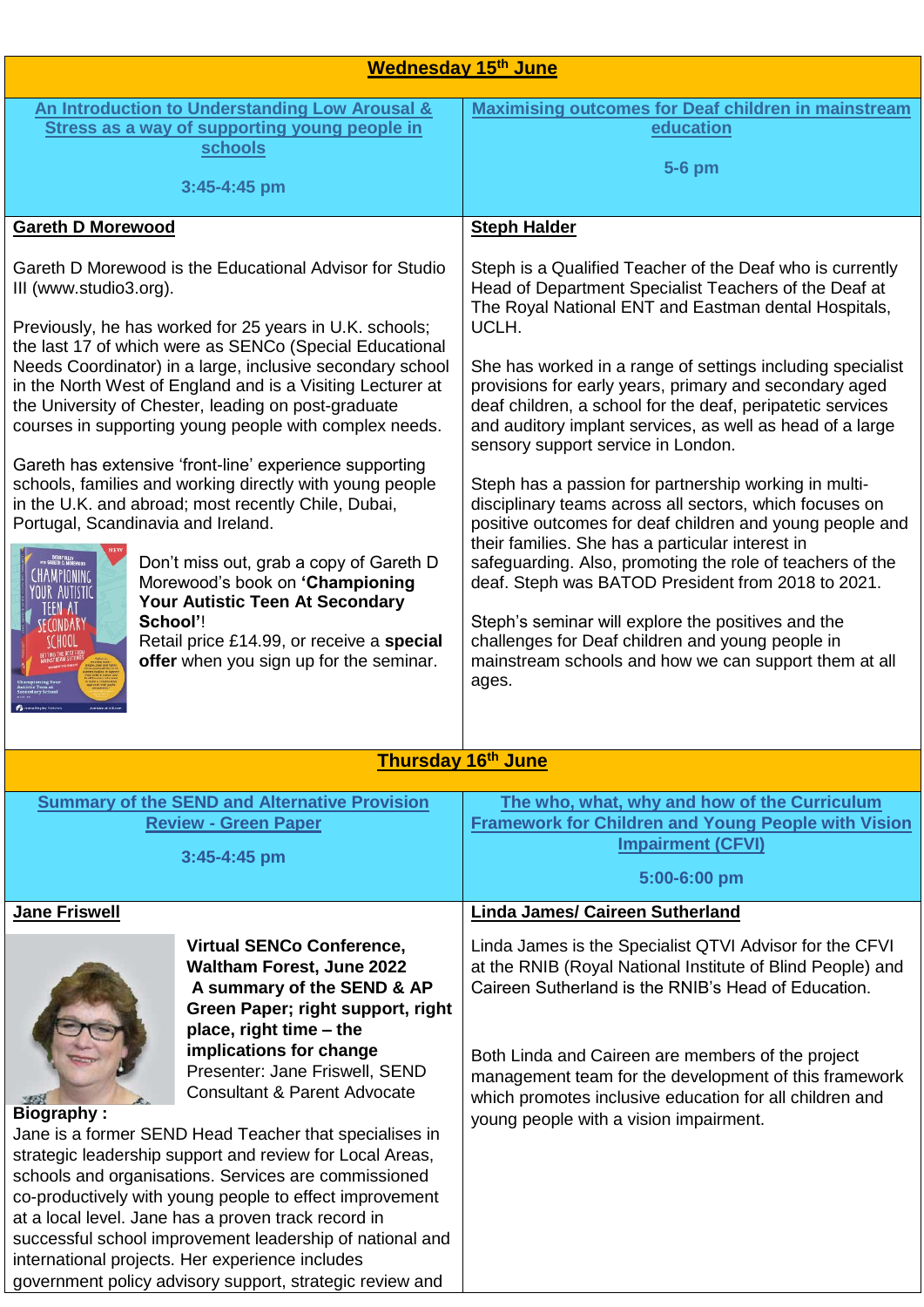| <b>Wednesday 15th June</b>                                                                                                                                                                                                                                                                                                                                                                                                                                                                                                                                                                                                                                                                                                                                                                                                                                                                   |                                                                                                                                                                                                                                                                                                                                                                                                                                                                                                                                                                                                                                                                                                                                                                                                                                                                                                                                                                                                                 |  |  |
|----------------------------------------------------------------------------------------------------------------------------------------------------------------------------------------------------------------------------------------------------------------------------------------------------------------------------------------------------------------------------------------------------------------------------------------------------------------------------------------------------------------------------------------------------------------------------------------------------------------------------------------------------------------------------------------------------------------------------------------------------------------------------------------------------------------------------------------------------------------------------------------------|-----------------------------------------------------------------------------------------------------------------------------------------------------------------------------------------------------------------------------------------------------------------------------------------------------------------------------------------------------------------------------------------------------------------------------------------------------------------------------------------------------------------------------------------------------------------------------------------------------------------------------------------------------------------------------------------------------------------------------------------------------------------------------------------------------------------------------------------------------------------------------------------------------------------------------------------------------------------------------------------------------------------|--|--|
| An Introduction to Understanding Low Arousal &<br>Stress as a way of supporting young people in<br>schools<br>3:45-4:45 pm                                                                                                                                                                                                                                                                                                                                                                                                                                                                                                                                                                                                                                                                                                                                                                   | <b>Maximising outcomes for Deaf children in mainstream</b><br>education<br>5-6 pm                                                                                                                                                                                                                                                                                                                                                                                                                                                                                                                                                                                                                                                                                                                                                                                                                                                                                                                               |  |  |
| <b>Gareth D Morewood</b>                                                                                                                                                                                                                                                                                                                                                                                                                                                                                                                                                                                                                                                                                                                                                                                                                                                                     | <b>Steph Halder</b>                                                                                                                                                                                                                                                                                                                                                                                                                                                                                                                                                                                                                                                                                                                                                                                                                                                                                                                                                                                             |  |  |
| Gareth D Morewood is the Educational Advisor for Studio<br>III (www.studio3.org).<br>Previously, he has worked for 25 years in U.K. schools;<br>the last 17 of which were as SENCo (Special Educational<br>Needs Coordinator) in a large, inclusive secondary school<br>in the North West of England and is a Visiting Lecturer at<br>the University of Chester, leading on post-graduate<br>courses in supporting young people with complex needs.<br>Gareth has extensive 'front-line' experience supporting<br>schools, families and working directly with young people<br>in the U.K. and abroad; most recently Chile, Dubai,<br>Portugal, Scandinavia and Ireland.<br>Don't miss out, grab a copy of Gareth D<br>Morewood's book on 'Championing<br>Your Autistic Teen At Secondary<br>School'!<br>Retail price £14.99, or receive a special<br>offer when you sign up for the seminar. | Steph is a Qualified Teacher of the Deaf who is currently<br>Head of Department Specialist Teachers of the Deaf at<br>The Royal National ENT and Eastman dental Hospitals,<br>UCLH.<br>She has worked in a range of settings including specialist<br>provisions for early years, primary and secondary aged<br>deaf children, a school for the deaf, peripatetic services<br>and auditory implant services, as well as head of a large<br>sensory support service in London.<br>Steph has a passion for partnership working in multi-<br>disciplinary teams across all sectors, which focuses on<br>positive outcomes for deaf children and young people and<br>their families. She has a particular interest in<br>safeguarding. Also, promoting the role of teachers of the<br>deaf. Steph was BATOD President from 2018 to 2021.<br>Steph's seminar will explore the positives and the<br>challenges for Deaf children and young people in<br>mainstream schools and how we can support them at all<br>ages. |  |  |
| Thursday 16 <sup>th</sup> June                                                                                                                                                                                                                                                                                                                                                                                                                                                                                                                                                                                                                                                                                                                                                                                                                                                               |                                                                                                                                                                                                                                                                                                                                                                                                                                                                                                                                                                                                                                                                                                                                                                                                                                                                                                                                                                                                                 |  |  |
| <b>Summary of the SEND and Alternative Provision</b><br><b>Review - Green Paper</b><br>3:45-4:45 pm                                                                                                                                                                                                                                                                                                                                                                                                                                                                                                                                                                                                                                                                                                                                                                                          | The who, what, why and how of the Curriculum<br><b>Framework for Children and Young People with Vision</b><br><b>Impairment (CFVI)</b><br>5:00-6:00 pm                                                                                                                                                                                                                                                                                                                                                                                                                                                                                                                                                                                                                                                                                                                                                                                                                                                          |  |  |
| <b>Jane Friswell</b>                                                                                                                                                                                                                                                                                                                                                                                                                                                                                                                                                                                                                                                                                                                                                                                                                                                                         | <b>Linda James/ Caireen Sutherland</b>                                                                                                                                                                                                                                                                                                                                                                                                                                                                                                                                                                                                                                                                                                                                                                                                                                                                                                                                                                          |  |  |
| <b>Virtual SENCo Conference,</b><br><b>Waltham Forest, June 2022</b><br>A summary of the SEND & AP<br>Green Paper; right support, right<br>place, right time - the<br>implications for change<br>Presenter: Jane Friswell, SEND<br><b>Consultant &amp; Parent Advocate</b><br><b>Biography:</b><br>Jane is a former SEND Head Teacher that specialises in<br>strategic leadership support and review for Local Areas,<br>schools and organisations. Services are commissioned                                                                                                                                                                                                                                                                                                                                                                                                                | Linda James is the Specialist QTVI Advisor for the CFVI<br>at the RNIB (Royal National Institute of Blind People) and<br>Caireen Sutherland is the RNIB's Head of Education.<br>Both Linda and Caireen are members of the project<br>management team for the development of this framework<br>which promotes inclusive education for all children and<br>young people with a vision impairment.                                                                                                                                                                                                                                                                                                                                                                                                                                                                                                                                                                                                                 |  |  |
| co-productively with young people to effect improvement<br>at a local level. Jane has a proven track record in<br>successful school improvement leadership of national and<br>international projects. Her experience includes<br>government policy advisory support, strategic review and                                                                                                                                                                                                                                                                                                                                                                                                                                                                                                                                                                                                    |                                                                                                                                                                                                                                                                                                                                                                                                                                                                                                                                                                                                                                                                                                                                                                                                                                                                                                                                                                                                                 |  |  |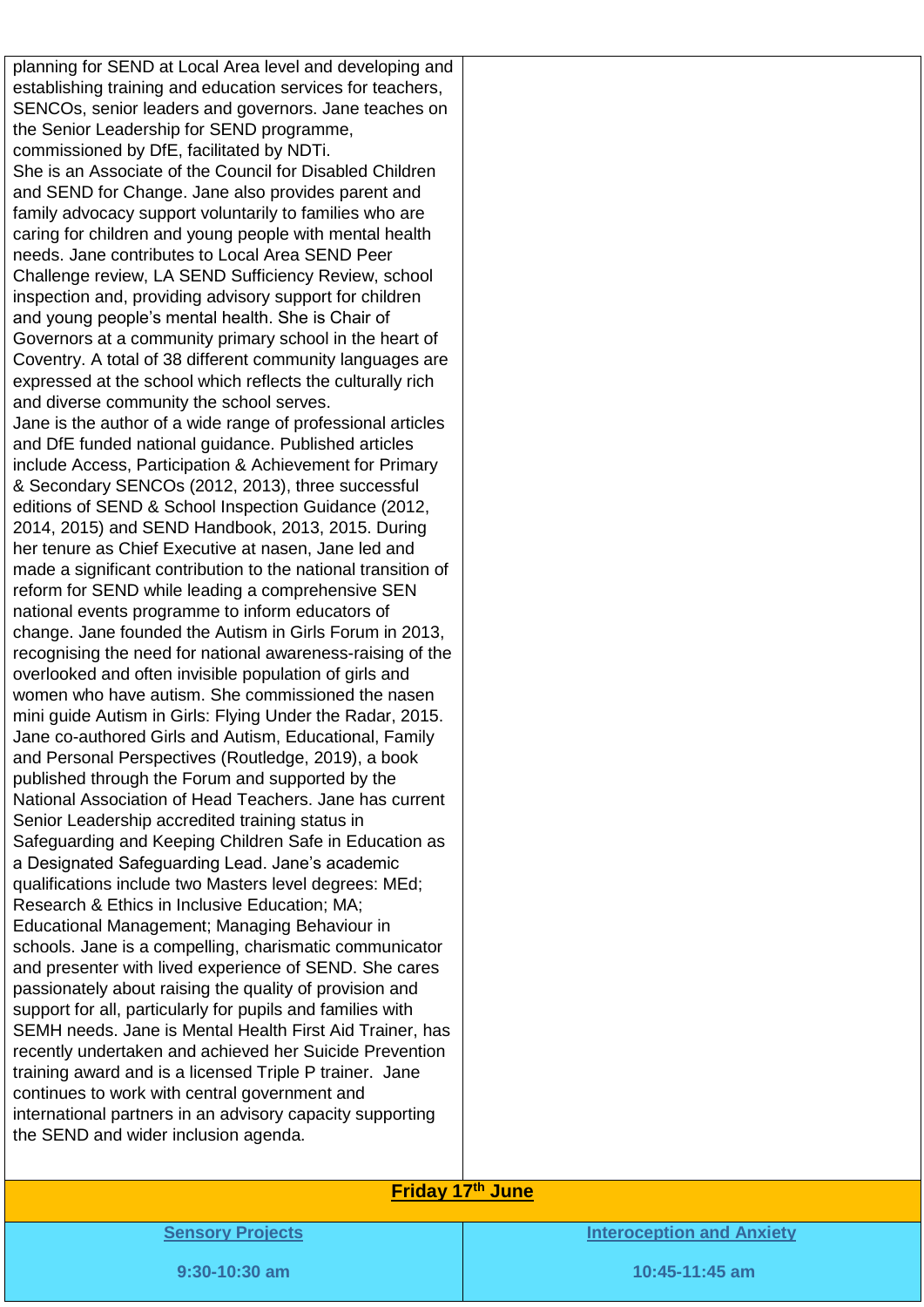planning for SEND at Local Area level and developing and establishing training and education services for teachers, SENCOs, senior leaders and governors. Jane teaches on the Senior Leadership for SEND programme, commissioned by DfE, facilitated by NDTi. She is an Associate of the Council for Disabled Children and SEND for Change. Jane also provides parent and family advocacy support voluntarily to families who are caring for children and young people with mental health needs. Jane contributes to Local Area SEND Peer Challenge review, LA SEND Sufficiency Review, school inspection and, providing advisory support for children and young people's mental health. She is Chair of Governors at a community primary school in the heart of Coventry. A total of 38 different community languages are expressed at the school which reflects the culturally rich and diverse community the school serves. Jane is the author of a wide range of professional articles and DfE funded national guidance. Published articles include Access, Participation & Achievement for Primary & Secondary SENCOs (2012, 2013), three successful editions of SEND & School Inspection Guidance (2012, 2014, 2015) and SEND Handbook, 2013, 2015. During her tenure as Chief Executive at nasen, Jane led and made a significant contribution to the national transition of reform for SEND while leading a comprehensive SEN national events programme to inform educators of change. Jane founded the Autism in Girls Forum in 2013, recognising the need for national awareness-raising of the overlooked and often invisible population of girls and women who have autism. She commissioned the nasen mini guide Autism in Girls: Flying Under the Radar, 2015. Jane co-authored Girls and Autism, Educational, Family and Personal Perspectives (Routledge, 2019), a book published through the Forum and supported by the National Association of Head Teachers. Jane has current Senior Leadership accredited training status in Safeguarding and Keeping Children Safe in Education as a Designated Safeguarding Lead. Jane's academic qualifications include two Masters level degrees: MEd; Research & Ethics in Inclusive Education; MA; Educational Management; Managing Behaviour in schools. Jane is a compelling, charismatic communicator and presenter with lived experience of SEND. She cares passionately about raising the quality of provision and support for all, particularly for pupils and families with SEMH needs. Jane is Mental Health First Aid Trainer, has recently undertaken and achieved her Suicide Prevention training award and is a licensed Triple P trainer. Jane continues to work with central government and international partners in an advisory capacity supporting the SEND and wider inclusion agenda.

## **Friday 17th June**

**Sensory Projects**

**Interoception and Anxiety**

**9:30-10:30 am**

**10:45-11:45 am**